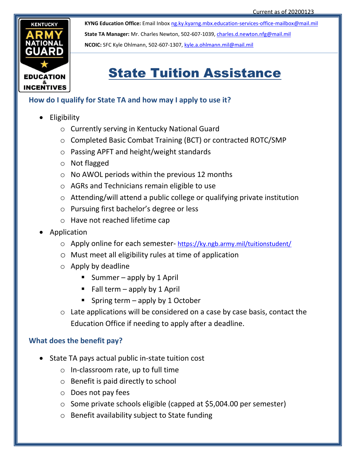

**KYNG Education Office:** Email Inbox [ng.ky.kyarng.mbx.education-services-office-mailbox@mail.mil](mailto:ng.ky.kyarng.mbx.education-services-office-mailbox@mail.mil) **State TA Manager:** Mr. Charles Newton, 502-607-1039, [charles.d.newton.nfg@mail.mil](mailto:charles.d.newton.nfg@mail.mil) **NCOIC:** SFC Kyle Ohlmann, 502-607-1307, [kyle.a.ohlmann.mil@mail.mil](mailto:kyle.a.ohlmann.mil@mail.mil)

# State Tuition Assistance

### **How do I qualify for State TA and how may I apply to use it?**

- Eligibility
	- o Currently serving in Kentucky National Guard
	- o Completed Basic Combat Training (BCT) or contracted ROTC/SMP
	- o Passing APFT and height/weight standards
	- o Not flagged
	- $\circ$  No AWOL periods within the previous 12 months
	- o AGRs and Technicians remain eligible to use
	- o Attending/will attend a public college or qualifying private institution
	- o Pursuing first bachelor's degree or less
	- o Have not reached lifetime cap
- Application
	- o Apply online for each semester- <https://ky.ngb.army.mil/tuitionstudent/>
	- o Must meet all eligibility rules at time of application
	- $\circ$  Apply by deadline
		- Summer apply by 1 April
		- Fall term apply by 1 April
		- Spring term  $-$  apply by 1 October
	- $\circ$  Late applications will be considered on a case by case basis, contact the Education Office if needing to apply after a deadline.

## **What does the benefit pay?**

- State TA pays actual public in-state tuition cost
	- o In-classroom rate, up to full time
	- o Benefit is paid directly to school
	- o Does not pay fees
	- o Some private schools eligible (capped at \$5,004.00 per semester)
	- o Benefit availability subject to State funding